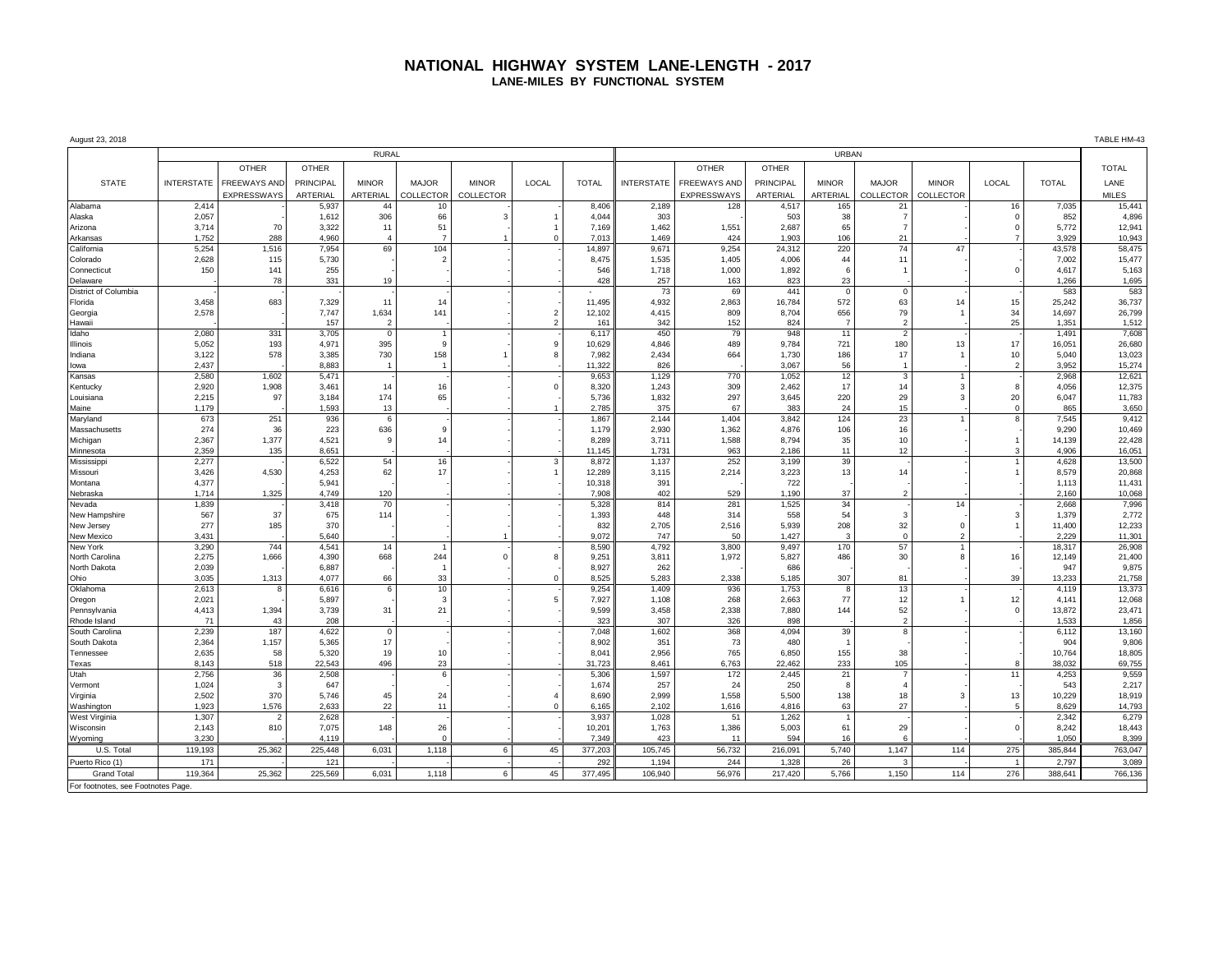## **NATIONAL HIGHWAY SYSTEM LANE-LENGTH - 2017 LANE-MILES BY FUNCTIONAL SYSTEM**

| August 23, 2018                    |                   |                         |                |                |                |              |               |                 |                   |                     |                |                |                          |                |                | TABLE HM-43    |                  |
|------------------------------------|-------------------|-------------------------|----------------|----------------|----------------|--------------|---------------|-----------------|-------------------|---------------------|----------------|----------------|--------------------------|----------------|----------------|----------------|------------------|
|                                    | <b>RURAL</b>      |                         |                |                |                |              |               |                 |                   | <b>URBAN</b>        |                |                |                          |                |                |                |                  |
|                                    |                   | <b>OTHER</b>            | <b>OTHER</b>   |                |                |              |               |                 |                   | <b>OTHER</b>        | <b>OTHER</b>   |                |                          |                |                |                | <b>TOTAL</b>     |
| <b>STATE</b>                       | <b>INTERSTATE</b> | <b>FREEWAYS AND</b>     | PRINCIPAL      | <b>MINOR</b>   | <b>MAJOR</b>   | <b>MINOR</b> | LOCAL         | <b>TOTAL</b>    | <b>INTERSTATE</b> | <b>FREEWAYS AND</b> | PRINCIPAL      | <b>MINOR</b>   | <b>MAJOR</b>             | <b>MINOR</b>   | LOCAL          | <b>TOTAL</b>   | LANE             |
|                                    |                   | <b>EXPRESSWAYS</b>      | ARTERIAL       | ARTERIAL       | COLLECTOR      | COLLECTOR    |               |                 |                   | <b>EXPRESSWAYS</b>  | ARTERIAL       | ARTERIAL       | COLLECTOR                | COLLECTOR      |                |                | <b>MILES</b>     |
| Alabama                            | 2,414             |                         | 5,937          | 44             | 10             |              |               | 8,406           | 2,189             | 128                 | 4,517          | 165            | 21                       |                | 16             | 7,035          | 15,441           |
| Alaska                             | 2,057             |                         | 1,612          | 306            | 66             |              |               | 4,044           | 303               |                     | 503            | 38             |                          |                | $\Omega$       | 852            | 4,896            |
| Arizona                            | 3,714             | 70                      | 3,322          | 11             | 51             |              |               | 7,169           | 1,462             | 1,551               | 2,687          | 65             |                          |                | $\Omega$       | 5,772          | 12,941           |
| Arkansas                           | 1,752             | 288                     | 4,960          |                | $\overline{7}$ |              |               | 7,013           | 1,469             | 424                 | 1,903          | 106            | 21                       |                |                | 3,929          | 10,943           |
| California                         | 5,254             | 1,516                   | 7,954          | 69             | 104            |              |               | 14,897          | 9,671             | 9,254               | 24,312         | 220            | 74                       | 47             |                | 43,578         | 58,475           |
| Colorado                           | 2,628             | 115                     | 5,730          |                | $\overline{2}$ |              |               | 8,475           | 1.535             | 1,405               | 4,006          | 44             | 11                       |                |                | 7,002          | 15,477           |
| Connecticut                        | 150               | 141                     | 255            |                |                |              |               | 546             | 1,718             | 1,000               | 1,892          | 6              |                          |                | $\mathbf 0$    | 4.617          | 5,163            |
| Delaware                           |                   | 78                      | 331            | 19             |                |              |               | 428             | 257               | 163                 | 823            | 23             |                          |                |                | 1,266          | 1,695            |
| District of Columbia               |                   |                         |                |                |                |              |               |                 | 73                | 69                  | 441            | $\mathbf 0$    | $\mathbf{0}$             |                |                | 583            | 583              |
| Florida                            | 3,458             | 683                     | 7,329          | 11             | 14             |              |               | 11,495          | 4,932             | 2,863               | 16,784         | 572            | 63                       | 14             | 15             | 25,242         | 36,737           |
| Georgia                            | 2,578             |                         | 7,747          | 1,634          | 141            |              | $\mathcal{P}$ | 12,102          | 4,415             | 809                 | 8,704          | 656            | 79                       |                | 34             | 14,697         | 26,799           |
| Hawaii                             |                   |                         | 157            | $\overline{2}$ |                |              |               | 161             | 342               | 152                 | 824            | $\overline{7}$ | $\overline{2}$           |                | 25             | 1,351          | 1,512            |
| Idaho                              | 2,080             | 331                     | 3,705          | $\mathbf 0$    |                |              |               | 6,117           | 450               | 79                  | 948            | 11             | $\overline{2}$           |                |                | 1,491          | 7,608            |
| Illinois                           | 5,052             | 193                     | 4,971          | 395            | 9              |              | 9             | 10,629          | 4,846             | 489                 | 9.784          | 721            | 180                      | 13             | 17             | 16,051         | 26,680           |
| Indiana                            | 3,122             | 578                     | 3,385          | 730            | 158            |              | $\mathbf{R}$  | 7,982           | 2,434             | 664                 | 1,730          | 186            | 17                       |                | 10             | 5,040          | 13,023           |
| lowa                               | 2.437<br>2,580    | 1,602                   | 8.883<br>5,471 | -1             | $\overline{1}$ |              |               | 11.322<br>9,653 | 826<br>1,129      | 770                 | 3.067<br>1,052 | 56<br>12       | 3                        |                | $\overline{2}$ | 3.952<br>2,968 | 15,274<br>12,621 |
| Kansas                             | 2,920             | 1,908                   | 3,461          | 14             | 16             |              | $\Omega$      | 8,320           | 1,243             | 309                 | 2,462          | 17             | 14                       | -3             | 8              | 4,056          | 12,375           |
| Kentucky<br>Louisiana              | 2,215             | 97                      | 3,184          | 174            | 65             |              |               | 5,736           | 1,832             | 297                 | 3,645          | 220            | 29                       | 3              | 20             | 6,047          | 11,783           |
| Maine                              | 1,179             |                         | 1,593          | 13             |                |              |               | 2,785           | 375               | 67                  | 383            | 24             | 15                       |                | $\Omega$       | 865            | 3,650            |
| Maryland                           | 673               | 251                     | 936            | 6              |                |              |               | 1,867           | 2,144             | 1,404               | 3,842          | 124            | 23                       |                | 8              | 7,545          | 9,412            |
| Massachusetts                      | 274               | 36                      | 223            | 636            | 9              |              |               | 1,179           | 2,930             | 1,362               | 4,876          | 106            | 16                       |                |                | 9,290          | 10,469           |
| Michigan                           | 2,367             | 1,377                   | 4,521          | $\mathbf{c}$   | 14             |              |               | 8.289           | 3.711             | 1,588               | 8.794          | 35             | 10                       |                | $\overline{1}$ | 14.139         | 22,428           |
| Minnesota                          | 2,359             | 135                     | 8,651          |                |                |              |               | 11.145          | 1.731             | 963                 | 2,186          | 11             | 12                       |                | $\mathbf{3}$   | 4.906          | 16,051           |
| Mississippi                        | 2,277             |                         | 6,522          | 54             | 16             |              |               | 8,872           | 1,137             | 252                 | 3,199          | 39             |                          |                |                | 4,628          | 13,500           |
| Missouri                           | 3,426             | 4,530                   | 4,253          | 62             | 17             |              |               | 12,289          | 3,115             | 2,214               | 3,223          | 13             | 14                       |                |                | 8,579          | 20,868           |
| Montana                            | 4,377             |                         | 5,941          |                |                |              |               | 10,318          | 391               |                     | 722            |                |                          |                |                | 1,113          | 11,431           |
| Nebraska                           | 1,714             | 1,325                   | 4,749          | 120            |                |              |               | 7,908           | 402               | 529                 | 1,190          | 37             | $\overline{\phantom{0}}$ |                |                | 2,160          | 10,068           |
| Nevada                             | 1,839             |                         | 3,418          | 70             |                |              |               | 5,328           | 814               | 281                 | 1,525          | 34             |                          | 14             |                | 2,668          | 7,996            |
| New Hampshire                      | 567               | 37                      | 675            | 114            |                |              |               | 1,393           | 448               | 314                 | 558            | 54             | $\mathbf{3}$             |                | $\mathbf{3}$   | 1.379          | 2,772            |
| New Jersey                         | 277               | 185                     | 370            |                |                |              |               | 832             | 2,705             | 2,516               | 5,939          | 208            | 32                       |                |                | 11,400         | 12,233           |
| New Mexico                         | 3,431             |                         | 5,640          |                |                |              |               | 9,072           | 747               | 50                  | 1,427          | 3              | $\Omega$                 | $\overline{2}$ |                | 2,229          | 11,301           |
| New York                           | 3,290             | 744                     | 4,541          | 14             |                |              |               | 8,590           | 4,792             | 3,800               | 9,497          | 170            | 57                       |                |                | 18,317         | 26,908           |
| North Carolina                     | 2,275             | 1,666                   | 4,390          | 668            | 244            | $\Omega$     | $\mathbf{R}$  | 9,251           | 3,811             | 1,972               | 5,827          | 486            | 30                       | $\mathbf{R}$   | 16             | 12,149         | 21,400           |
| North Dakota                       | 2,039<br>3,035    |                         | 6,887<br>4,077 | 66             | -1<br>33       |              |               | 8,927           | 262<br>5,283      | 2,338               | 686            | 307            | 81                       |                | 39             | 947<br>13,233  | 9,875            |
| Ohio<br>Oklahoma                   | 2,613             | 1,313<br>-8             | 6,616          | 6              | 10             |              |               | 8,525<br>9,254  | 1,409             | 936                 | 5,185<br>1,753 | 8              | 13                       |                |                | 4,119          | 21,758<br>13,373 |
| Oregon                             | 2,021             |                         | 5,897          |                | 3              |              | 5             | 7,927           | 1,108             | 268                 | 2,663          | 77             | 12                       |                | 12             | 4,141          | 12,068           |
| Pennsylvania                       | 4,413             | 1,394                   | 3,739          | 31             | 21             |              |               | 9,599           | 3,458             | 2,338               | 7,880          | 144            | 52                       |                | $\mathbf 0$    | 13,872         | 23,471           |
| Rhode Island                       | 71                | 43                      | 208            |                |                |              |               | 323             | 307               | 326                 | 898            |                | $\overline{2}$           |                |                | 1,533          | 1,856            |
| South Carolina                     | 2,239             | 187                     | 4,622          | $\mathbf 0$    |                |              |               | 7,048           | 1,602             | 368                 | 4,094          | 39             | 8                        |                |                | 6.112          | 13,160           |
| South Dakota                       | 2,364             | 1,157                   | 5,365          | 17             |                |              |               | 8,902           | 351               | 73                  | 480            |                |                          |                |                | 904            | 9,806            |
| Tennessee                          | 2,635             | 58                      | 5,320          | 19             | 10             |              |               | 8,041           | 2,956             | 765                 | 6,850          | 155            | 38                       |                |                | 10,764         | 18,805           |
| Texas                              | 8.143             | 518                     | 22.543         | 496            | 23             |              |               | 31.723          | 8.461             | 6,763               | 22,462         | 233            | 105                      |                | 8              | 38.032         | 69,755           |
| Utah                               | 2,756             | 36                      | 2,508          |                | 6              |              |               | 5,306           | 1,597             | 172                 | 2,445          | 21             |                          |                | 11             | 4,253          | 9,559            |
| Vermont                            | 1,024             | $\overline{\mathbf{3}}$ | 647            |                |                |              |               | 1,674           | 257               | 24                  | 250            | 8              | $\Delta$                 |                |                | 543            | 2,217            |
| Virginia                           | 2,502             | 370                     | 5,746          | 45             | 24             |              |               | 8,690           | 2,999             | 1,558               | 5,500          | 138            | 18                       | $\mathbf{a}$   | 13             | 10,229         | 18,919           |
| Washington                         | 1,923             | 1,576                   | 2,633          | 22             | 11             |              | $\Omega$      | 6.165           | 2,102             | 1,616               | 4,816          | 63             | 27                       |                | 5              | 8,629          | 14,793           |
| West Virginia                      | 1,307             | $\overline{2}$          | 2,628          |                |                |              |               | 3,937           | 1,028             | 51                  | 1,262          | $\overline{1}$ |                          |                |                | 2,342          | 6,279            |
| Wisconsin                          | 2,143             | 810                     | 7,075          | 148            | 26             |              |               | 10,201          | 1,763             | 1,386               | 5,003          | 61             | 29                       |                | $\mathsf 0$    | 8,242          | 18,443           |
| Wvomina                            | 3.230             |                         | 4.119          |                | $\Omega$       |              |               | 7.349           | 423               | 11                  | 594            | 16             | 6                        |                |                | 1.050          | 8.399            |
| U.S. Total                         | 119,193           | 25,362                  | 225,448        | 6,031          | 1,118          | 6            | 45            | 377,203         | 105,745           | 56,732              | 216,091        | 5,740          | 1,147                    | 114            | 275            | 385,844        | 763,047          |
| Puerto Rico (1)                    | 171               |                         | 121            |                |                |              |               | 292             | 1,194             | 244                 | 1,328          | 26             | 3                        |                |                | 2,797          | 3,089            |
| <b>Grand Total</b>                 | 119.364           | 25.362                  | 225.569        | 6,031          | 1.118          | 6            | 45            | 377,495         | 106.940           | 56.976              | 217,420        | 5.766          | 1.150                    | 114            | 276            | 388.641        | 766,136          |
| For footnotes, see Footnotes Page. |                   |                         |                |                |                |              |               |                 |                   |                     |                |                |                          |                |                |                |                  |